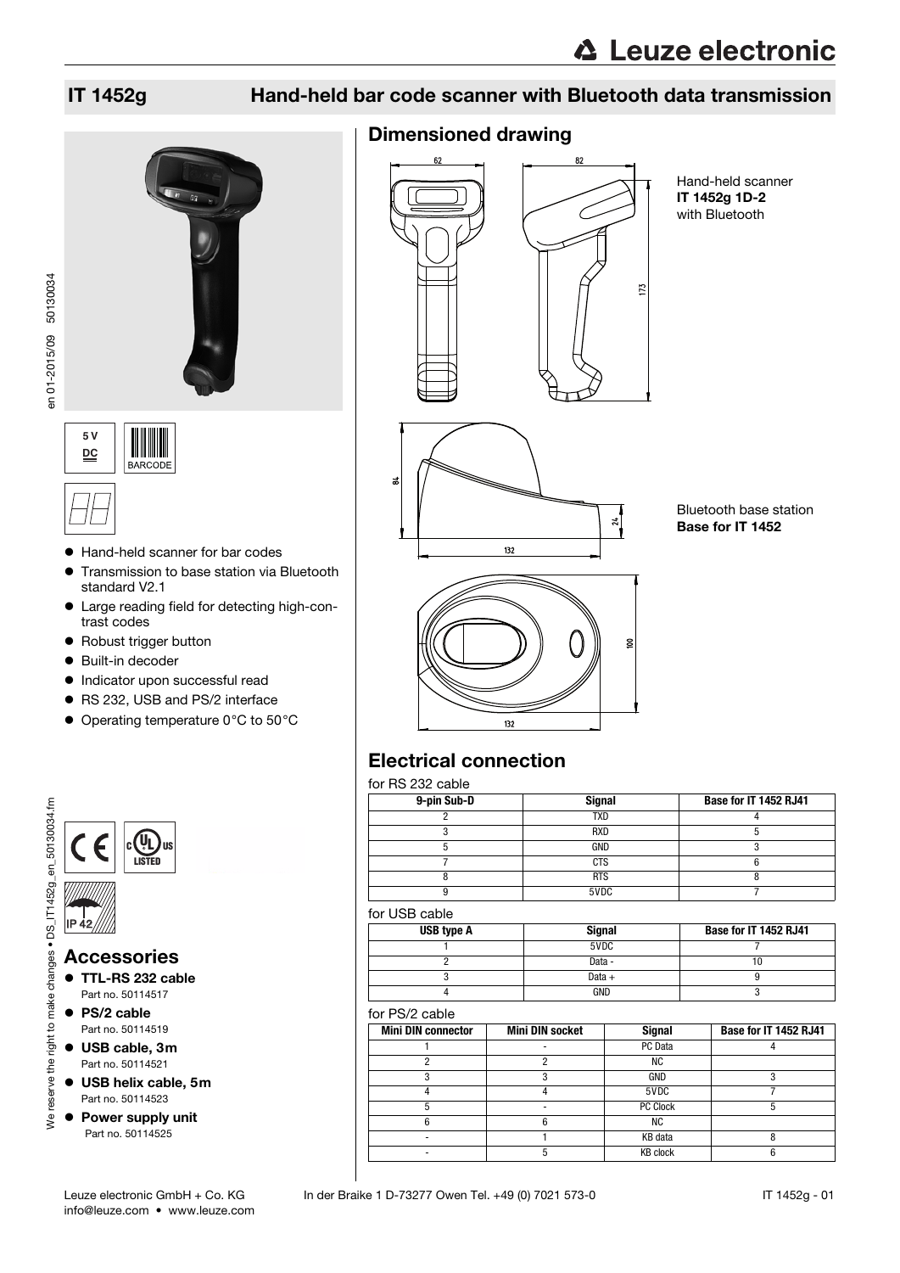





Hand-held scanner IT 1452g 1D-2 with Bluetooth



Bluetooth base station Base for IT 1452



# Electrical connection

for RS 232 cable

| 9-pin Sub-D | <b>Signal</b> | Base for IT 1452 RJ41 |
|-------------|---------------|-----------------------|
|             | <b>TXD</b>    |                       |
|             | <b>RXD</b>    |                       |
|             | GND           |                       |
|             | <b>CTS</b>    |                       |
|             | <b>RTS</b>    |                       |
|             | 5VDC          |                       |

#### for USB cable

| USB type A | <b>Signal</b> | Base for IT 1452 RJ41 |
|------------|---------------|-----------------------|
|            | 5VDC          |                       |
|            | Data -        |                       |
|            | Data $+$      |                       |
|            | GND           |                       |

#### for PS/2 cable

| <b>Mini DIN connector</b> | <b>Mini DIN socket</b> | <b>Signal</b>   | Base for IT 1452 RJ41 |
|---------------------------|------------------------|-----------------|-----------------------|
|                           |                        | PC Data         |                       |
|                           |                        | <b>NC</b>       |                       |
|                           |                        | GND             |                       |
|                           |                        | 5VDC            |                       |
|                           |                        | PC Clock        |                       |
|                           |                        | ΝC              |                       |
|                           |                        | KB data         |                       |
|                           |                        | <b>KB</b> clock |                       |



**5 V DC BARCODE** 



- Hand-held scanner for bar codes
- **•** Transmission to base station via Bluetooth standard V2.1
- Large reading field for detecting high-contrast codes
- Robust trigger button
- Built-in decoder
- $\bullet$  Indicator upon successful read
- RS 232, USB and PS/2 interface
- Operating temperature 0°C to 50°C

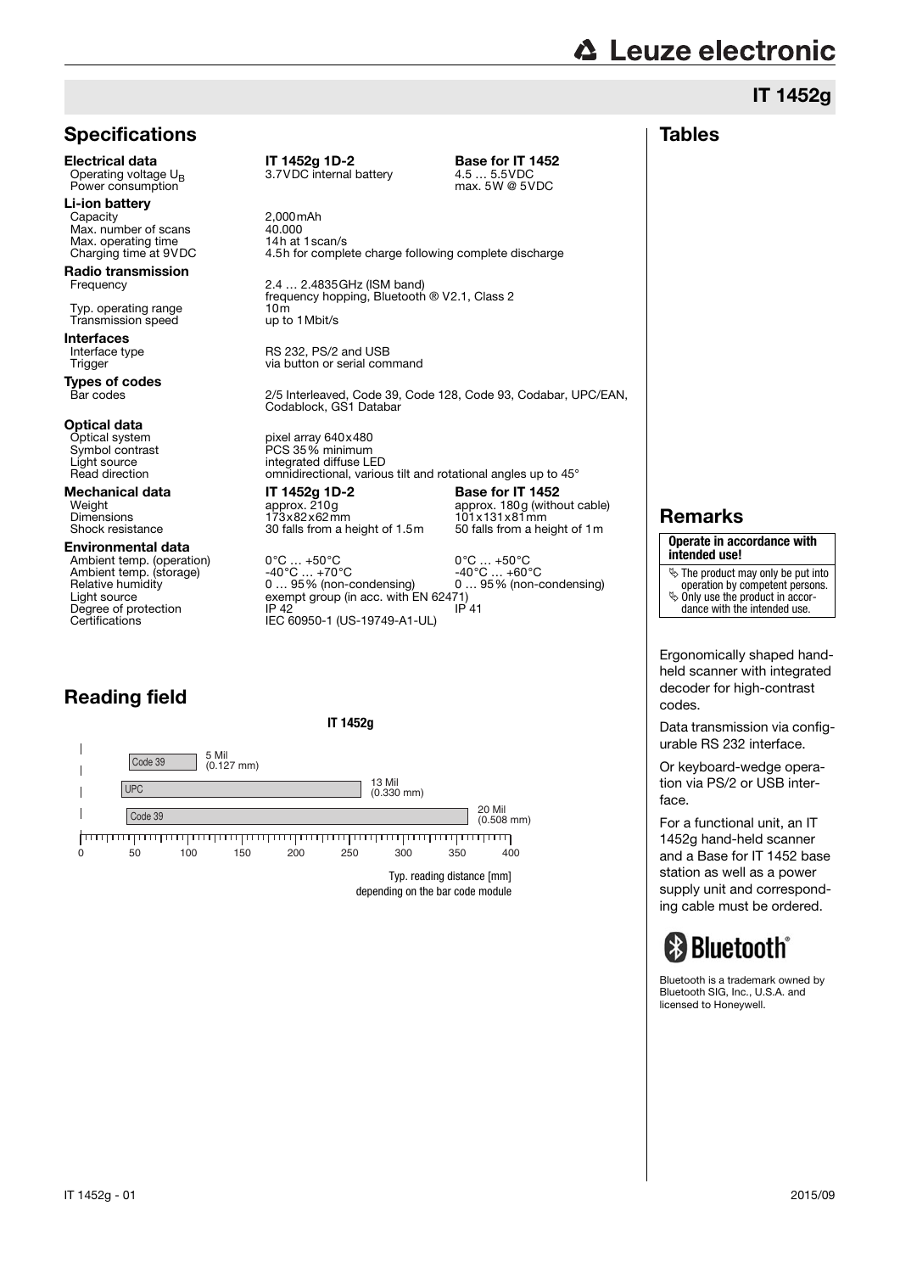## **Specifications**

**Electrical data** IT 1452g 1D-2 **Base for IT 1452**<br>Operating voltage  $U_R$  3.7VDC internal battery 4.5 ... 5.5VDC Power consumption

**Li-ion battery**<br>Capacity Max. number of scans<br>
Max. operating time<br>
Max. operating time<br>
14h at 1 scan/s Max. operating time<br>Charging time at 9VDC

**Radio transmission**<br>Frequency

Transmission speed

Interfaces<br>Interface type

**Types of codes**<br>Bar codes

# **Optical data**<br>Optical system

Optical system pixel array 640x480<br>Symbol contrast PCS 35% minimum

#### Environmental data

Reading field

 $\overline{\phantom{a}}$  $\overline{1}$  $\overline{\phantom{a}}$  $\overline{\phantom{a}}$ 

Code 39

**UPC** Code 39 5 Mil (0.127 mm)

Light source exempt group (in acc. with EN 62471)<br>
Degree of protection and IP 42 Degree of protection<br>Certifications

Operation 3.7VDC internal battery<br>
max. 5W @ 5VDC

 $2,000$ mAh<br> $40.000$ 4.5h for complete charge following complete discharge

2.4 ... 2.4835 GHz (ISM band) frequency hopping, Bluetooth ® V2.1, Class 2<br>10m

Interface type **RS 232, PS/2 and USB**<br>Trigger Trigger Trigger and Trigger and USB via button or serial command

> 2/5 Interleaved, Code 39, Code 128, Code 93, Codabar, UPC/EAN, Codablock, GS1 Databar

Symbol contrast PCS 35% minimum<br>Light source integrated diffuse LE Light source<br>
Fraction<br>
Read direction<br>
Read direction omnidirectional, various tilt and rotational angles up to 45°

**Mechanical data IT 1452g 1D-2 Base for IT 1452**<br>Weight **IT 1452g 1D-2 Base for IT 1452** Dimensions 173x82x62mm 101x131x81mm<br>Shock resistance 30 falls from a height of 1.5m 50 falls from a height of 1m 30 falls from a height of 1.5m

**IT 1452g**

0 50 100 150 200 250 350 400 300

<del>| manapamanapamanapamanapamanapamanapamana</del>

13 Mil (0.330 mm)

Weight approx. 210g approx. 210g approx. 180g (without cable)<br>Dimensions 173x82x62mm 101x131x81mm

Ambient temp. (operation)  $0^{\circ}$ C ... +50°C  $0^{\circ}$ C ... +50°C <br>
Ambient temp. (storage)  $-40^{\circ}$ C ... +70°C  $-40^{\circ}$ C ... +60°C  $-40^{\circ}$ C ... +60°C <br>
Relative humidity  $0...$  95% (non-condensing)  $0...$  95% (non-condensin Ambient temp. (storage) -40°C … +70°C -40°C … +60°C<br>Relative humidity 0 … 95% (non-condensing) 0 … 95% (non-condensing) IF  $\frac{12}{15}$  60950-1 (US-19749-A1-UL)

> 20 Mil (0.508 mm)

Typ. reading distance [mm] depending on the bar code module

# Typ. operating range 10m 10m Transmission speed up to 1 Mbit/s

# **△ Leuze electronic** IT 1452g

### Tables

Remarks

**Operate in accordance with intended use!**

- $\overline{\mathfrak{G}}$  The product may only be put into operation by competent persons.
- $\%$  Only use the product in accor-
- dance with the intended use.

Ergonomically shaped handheld scanner with integrated decoder for high-contrast codes.

Data transmission via configurable RS 232 interface.

Or keyboard-wedge operation via PS/2 or USB interface.

For a functional unit, an IT 1452g hand-held scanner and a Base for IT 1452 base station as well as a power supply unit and corresponding cable must be ordered.

# **Bluetooth**°

Bluetooth is a trademark owned by Bluetooth SIG, Inc., U.S.A. and licensed to Honeywell.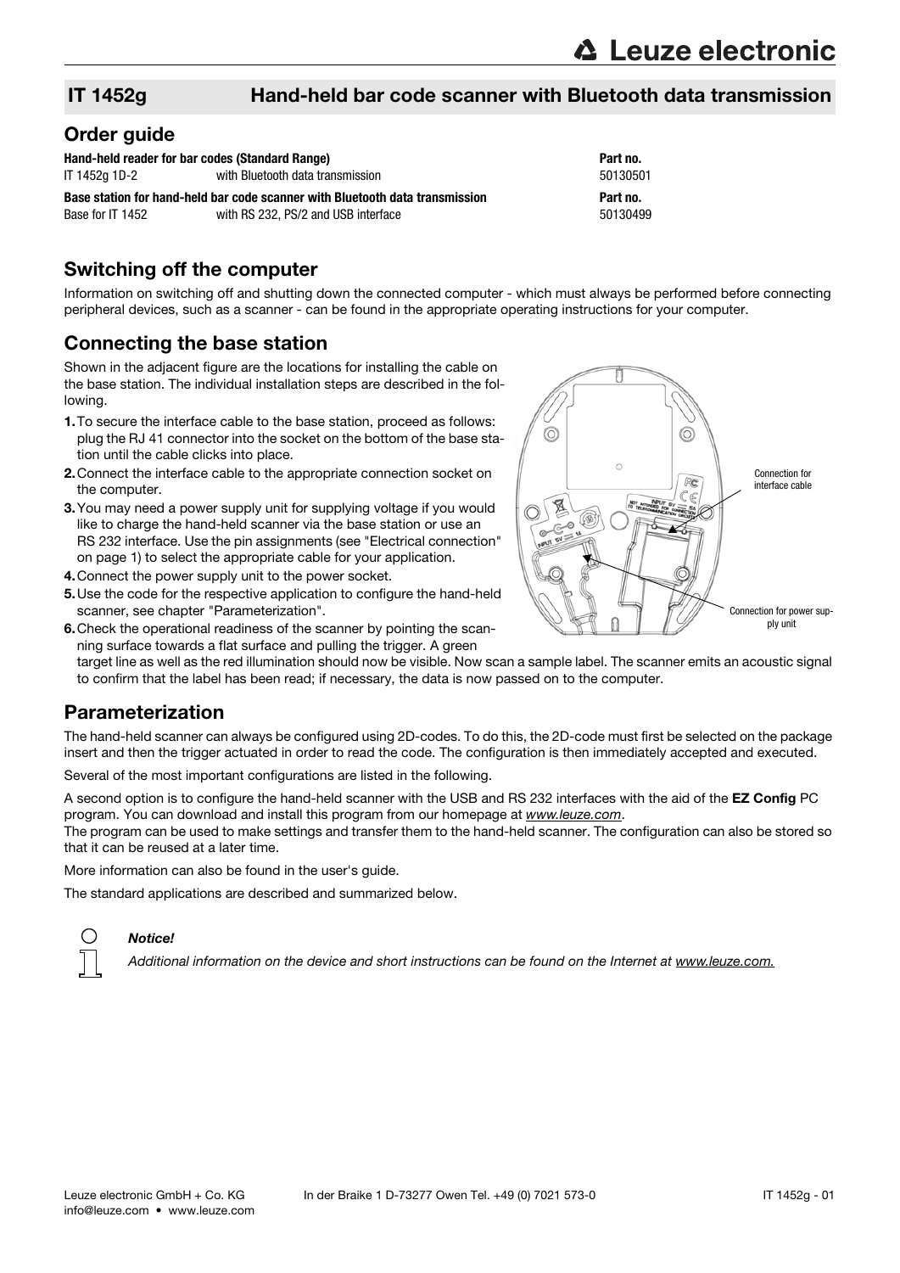### Order guide

| Hand-held reader for bar codes (Standard Range) |                                                                              | Part no. |
|-------------------------------------------------|------------------------------------------------------------------------------|----------|
| IT 1452a 1D-2                                   | with Bluetooth data transmission                                             | 50130501 |
|                                                 |                                                                              |          |
|                                                 | Base station for hand-held bar code scanner with Bluetooth data transmission | Part no. |
| Base for IT 1452                                | with RS 232, PS/2 and USB interface                                          | 50130499 |

### Switching off the computer

Information on switching off and shutting down the connected computer - which must always be performed before connecting peripheral devices, such as a scanner - can be found in the appropriate operating instructions for your computer.

# Connecting the base station

Shown in the adjacent figure are the locations for installing the cable on the base station. The individual installation steps are described in the following.

- 1.To secure the interface cable to the base station, proceed as follows: plug the RJ 41 connector into the socket on the bottom of the base station until the cable clicks into place.
- 2.Connect the interface cable to the appropriate connection socket on the computer.
- 3.You may need a power supply unit for supplying voltage if you would like to charge the hand-held scanner via the base station or use an RS 232 interface. Use the pin assignments (see "Electrical connection" on page 1) to select the appropriate cable for your application.
- 4.Connect the power supply unit to the power socket.
- 5.Use the code for the respective application to configure the hand-held scanner, see chapter "Parameterization".
- 6.Check the operational readiness of the scanner by pointing the scanning surface towards a flat surface and pulling the trigger. A green



target line as well as the red illumination should now be visible. Now scan a sample label. The scanner emits an acoustic signal to confirm that the label has been read; if necessary, the data is now passed on to the computer.

## Parameterization

The hand-held scanner can always be configured using 2D-codes. To do this, the 2D-code must first be selected on the package insert and then the trigger actuated in order to read the code. The configuration is then immediately accepted and executed.

Several of the most important configurations are listed in the following.

A second option is to configure the hand-held scanner with the USB and RS 232 interfaces with the aid of the EZ Config PC program. You can download and install this program from our homepage at www.leuze.com.

The program can be used to make settings and transfer them to the hand-held scanner. The configuration can also be stored so that it can be reused at a later time.

More information can also be found in the user's quide.

The standard applications are described and summarized below.



#### Notice!

Additional information on the device and short instructions can be found on the Internet at www.leuze.com.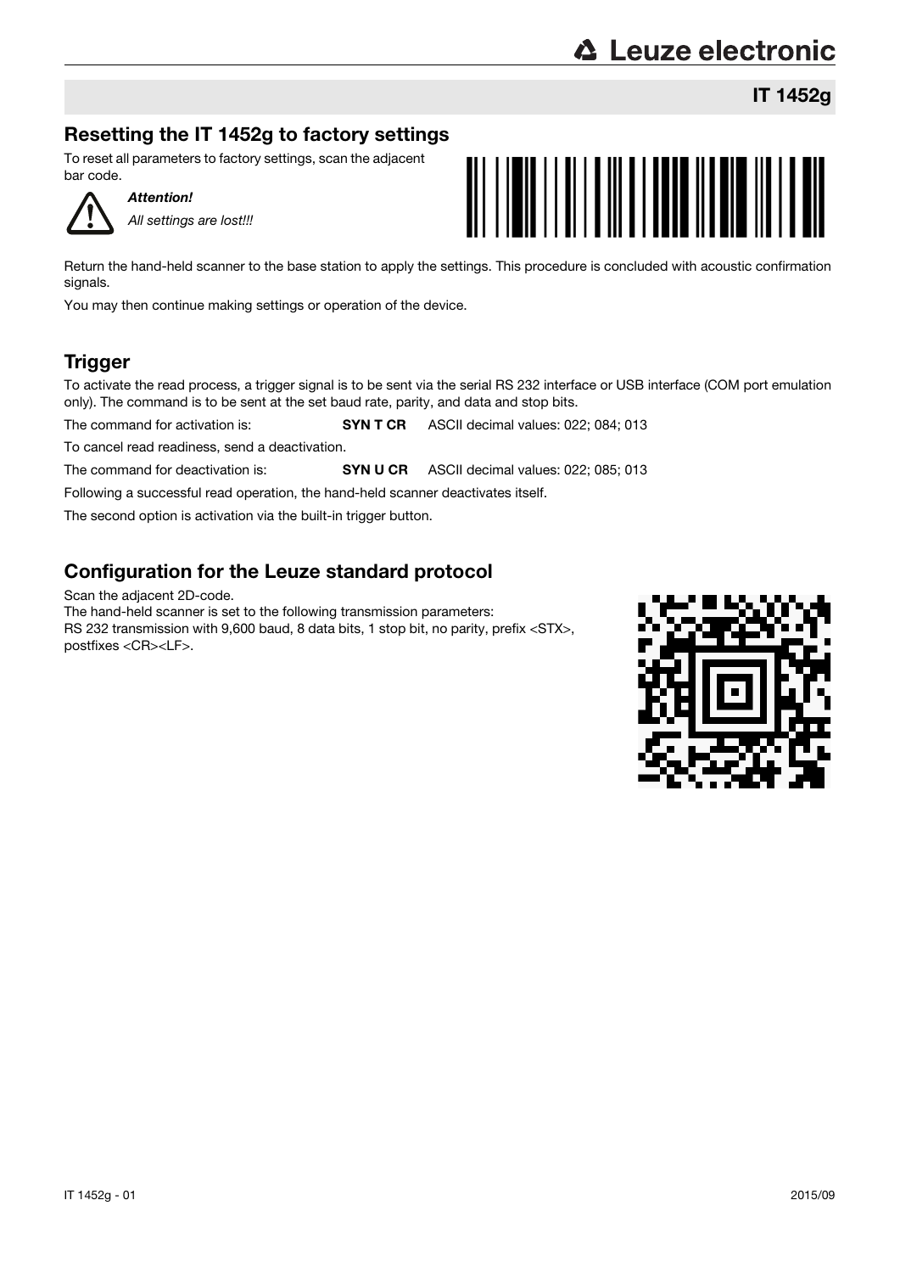# **△ Leuze electronic**

IT 1452g

# Resetting the IT 1452g to factory settings

To reset all parameters to factory settings, scan the adjacent bar code.



Attention! All settings are lost!!!



Return the hand-held scanner to the base station to apply the settings. This procedure is concluded with acoustic confirmation signals.

You may then continue making settings or operation of the device.

# **Trigger**

To activate the read process, a trigger signal is to be sent via the serial RS 232 interface or USB interface (COM port emulation only). The command is to be sent at the set baud rate, parity, and data and stop bits.

The command for activation is: **SYN T CR** ASCII decimal values: 022; 084; 013

To cancel read readiness, send a deactivation.

The command for deactivation is: **SYN U CR** ASCII decimal values: 022; 085; 013

Following a successful read operation, the hand-held scanner deactivates itself.

The second option is activation via the built-in trigger button.

# Configuration for the Leuze standard protocol

Scan the adjacent 2D-code.

The hand-held scanner is set to the following transmission parameters:

RS 232 transmission with 9,600 baud, 8 data bits, 1 stop bit, no parity, prefix <STX>, postfixes <CR><LF>.

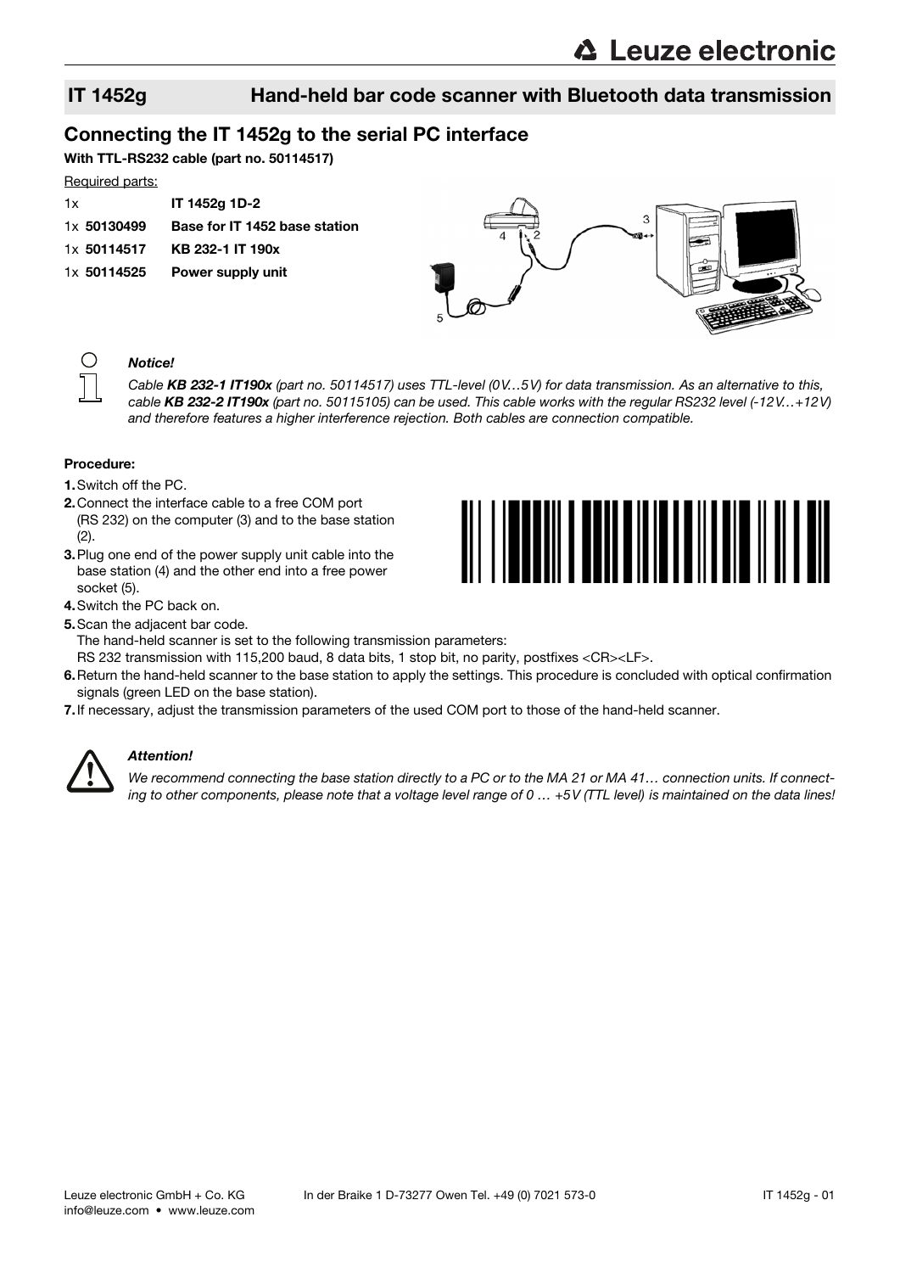## Connecting the IT 1452g to the serial PC interface

With TTL-RS232 cable (part no. 50114517)

#### Required parts:

| 1x          | IT 1452g 1D-2                 |
|-------------|-------------------------------|
| 1x 50130499 | Base for IT 1452 base station |
| 1x 50114517 | KB 232-1 IT 190x              |
| 1x 50114525 | Power supply unit             |





#### Notice!

Cable KB 232-1 IT190x (part no. 50114517) uses TTL-level (0V...5V) for data transmission. As an alternative to this, cable KB 232-2 IT190x (part no. 50115105) can be used. This cable works with the regular RS232 level (-12V.. $+12V$ ) and therefore features a higher interference rejection. Both cables are connection compatible.

#### Procedure:

- 1.Switch off the PC.
- 2.Connect the interface cable to a free COM port (RS 232) on the computer (3) and to the base station (2).
- 3.Plug one end of the power supply unit cable into the base station (4) and the other end into a free power socket (5).
- 4.Switch the PC back on.
- 5.Scan the adjacent bar code.



- The hand-held scanner is set to the following transmission parameters: RS 232 transmission with 115,200 baud, 8 data bits, 1 stop bit, no parity, postfixes <CR><LF>.
- 6.Return the hand-held scanner to the base station to apply the settings. This procedure is concluded with optical confirmation signals (green LED on the base station).
- 7.If necessary, adjust the transmission parameters of the used COM port to those of the hand-held scanner.



#### Attention!

We recommend connecting the base station directly to a PC or to the MA 21 or MA 41... connection units. If connecting to other components, please note that a voltage level range of 0 ... +5V (TTL level) is maintained on the data lines!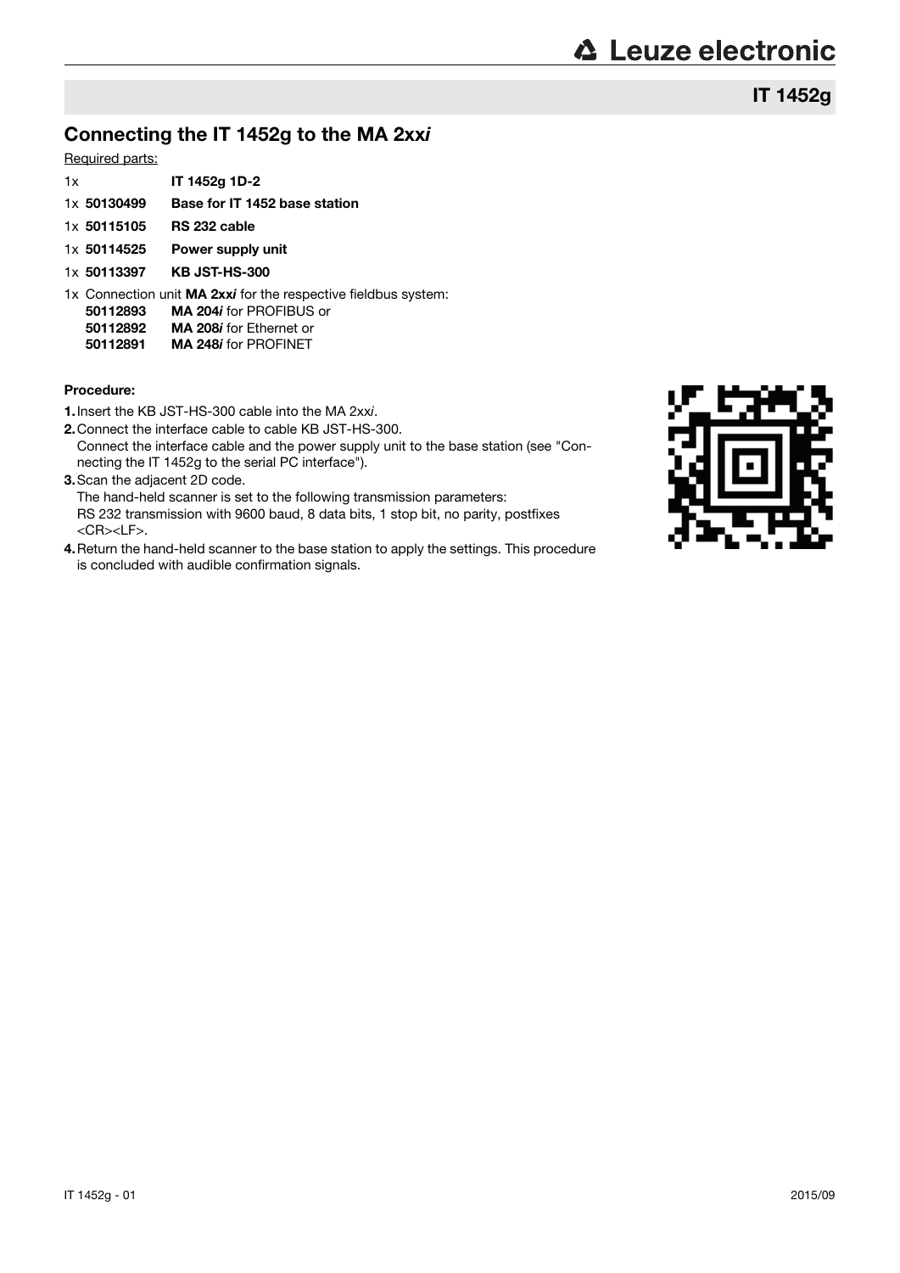IT 1452g

# Connecting the IT 1452g to the MA 2xxi

#### Required parts:

| 1x          | IT 1452g 1D-2                 |
|-------------|-------------------------------|
| 1x 50130499 | Base for IT 1452 base station |
| 1x 50115105 | RS 232 cable                  |

- 1x 50114525 Power supply unit
- 1x 50113397 KB JST-HS-300
- 1x Connection unit MA 2xxi for the respective fieldbus system:
	- 50112893 MA 204i for PROFIBUS or
	- **50112892 MA 208i for Ethernet or<br>50112891 MA 248i for PROFINET**
	- MA 248i for PROFINET

#### Procedure:

- 1.Insert the KB JST-HS-300 cable into the MA 2xxi.
- 2.Connect the interface cable to cable KB JST-HS-300. Connect the interface cable and the power supply unit to the base station (see "Connecting the IT 1452g to the serial PC interface").
- 3.Scan the adjacent 2D code.
- The hand-held scanner is set to the following transmission parameters: RS 232 transmission with 9600 baud, 8 data bits, 1 stop bit, no parity, postfixes <CR><LF>.
- 4. Return the hand-held scanner to the base station to apply the settings. This procedure is concluded with audible confirmation signals.

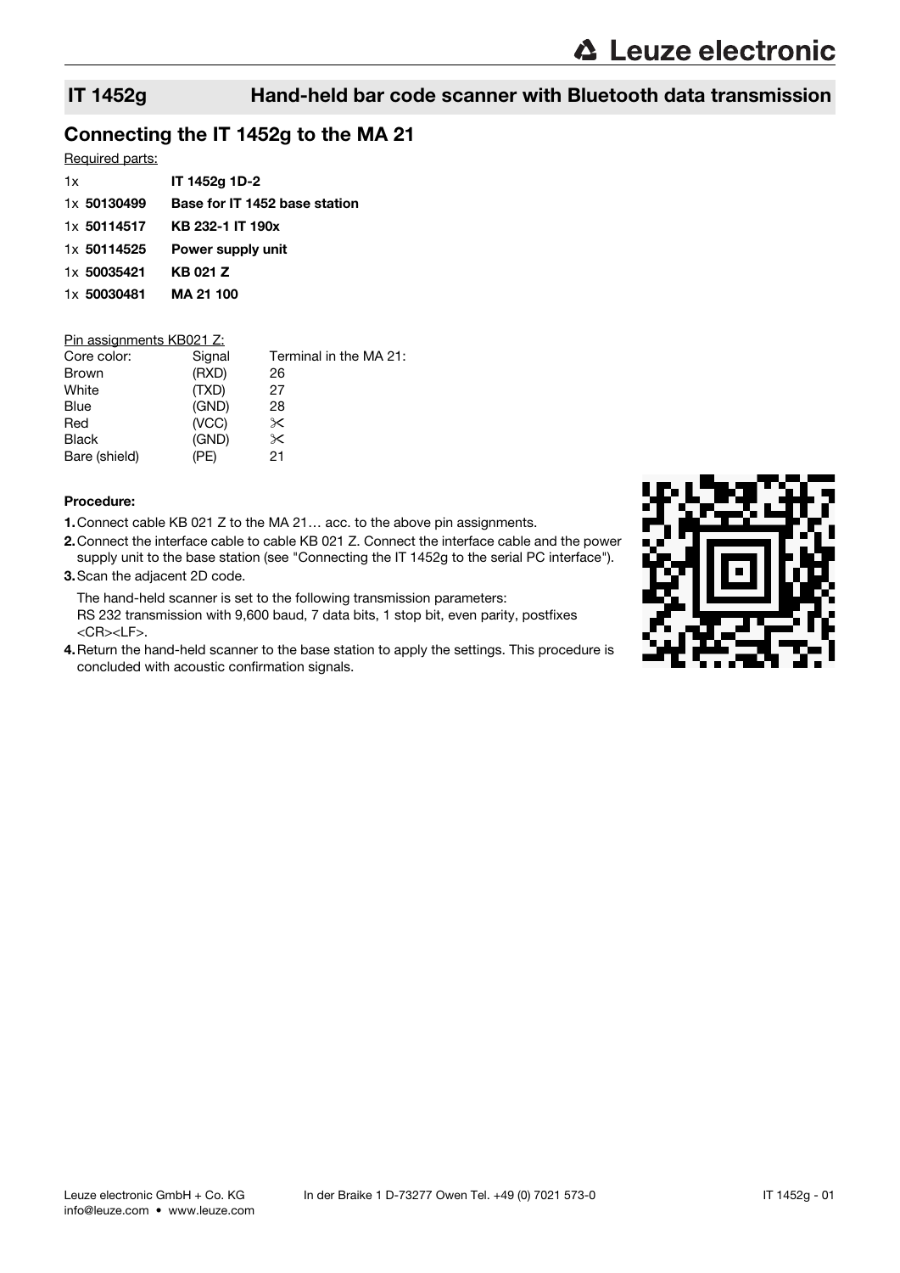# Connecting the IT 1452g to the MA 21

### Required parts:

| 1x          | IT 1452g 1D-2                 |
|-------------|-------------------------------|
| 1x 50130499 | Base for IT 1452 base station |
| 1x 50114517 | KB 232-1 IT 190x              |
| 1x 50114525 | Power supply unit             |
| 1x 50035421 | KB 021 Z                      |
| 1x 50030481 | MA 21 100                     |
|             |                               |

# Pin assignments KB021 Z:

| Core color:   | Signal | Terminal in the MA 21: |
|---------------|--------|------------------------|
| Brown         | (RXD)  | 26                     |
| White         | (TXD)  | 27                     |
| Blue          | (GND)  | 28                     |
| Red           | (VCC)  | $\times$               |
| <b>Black</b>  | (GND)  | $\times$               |
| Bare (shield) | (PE)   | 21                     |
|               |        |                        |

#### Procedure:

- 1.Connect cable KB 021 Z to the MA 21… acc. to the above pin assignments.
- 2.Connect the interface cable to cable KB 021 Z. Connect the interface cable and the power supply unit to the base station (see "Connecting the IT 1452g to the serial PC interface").
- 3.Scan the adjacent 2D code.

The hand-held scanner is set to the following transmission parameters: RS 232 transmission with 9,600 baud, 7 data bits, 1 stop bit, even parity, postfixes <CR><LF>.

4.Return the hand-held scanner to the base station to apply the settings. This procedure is concluded with acoustic confirmation signals.

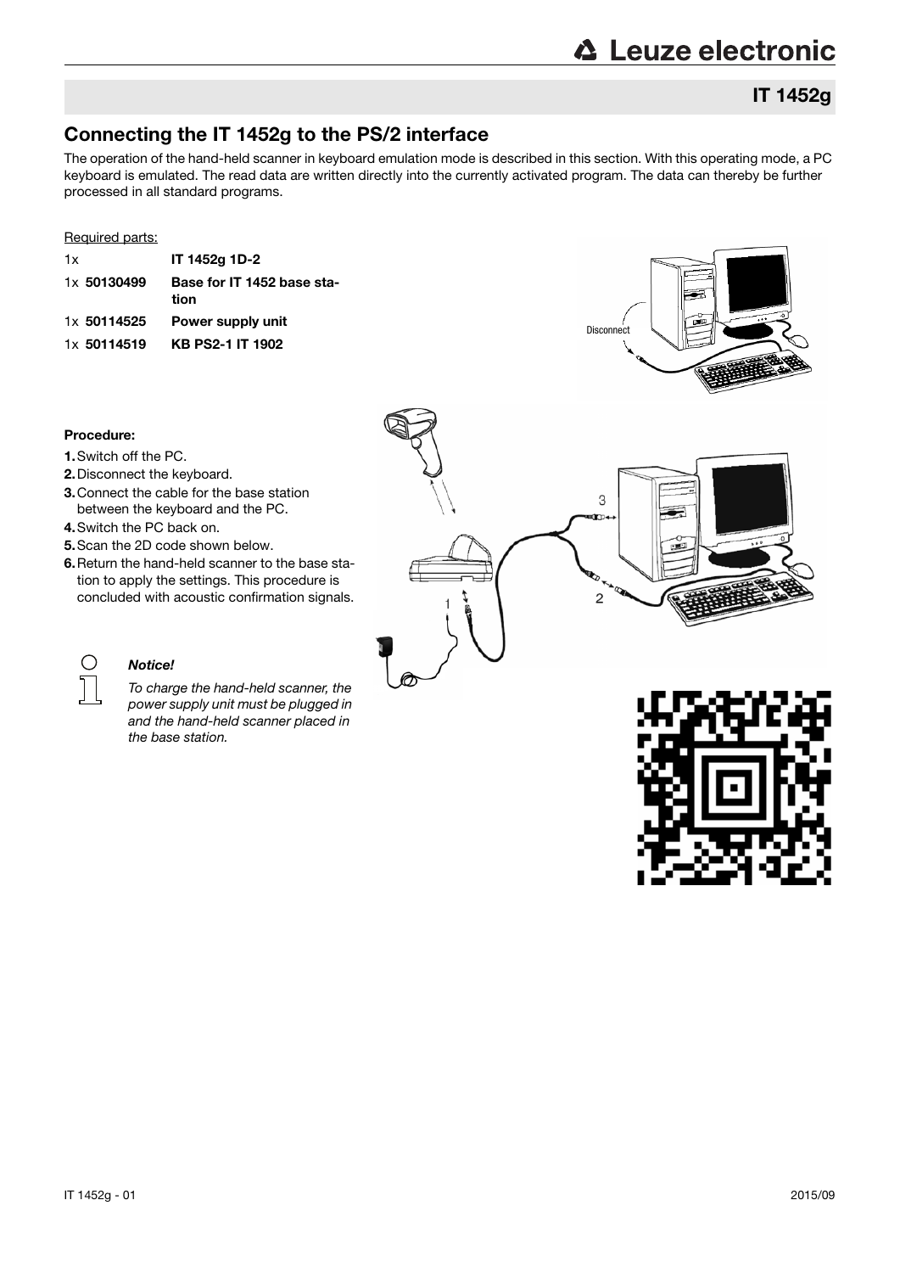# **△ Leuze electronic**

# IT 1452g

# Connecting the IT 1452g to the PS/2 interface

The operation of the hand-held scanner in keyboard emulation mode is described in this section. With this operating mode, a PC keyboard is emulated. The read data are written directly into the currently activated program. The data can thereby be further processed in all standard programs.

#### Required parts:

| 1x |             | IT 1452g 1D-2                      |
|----|-------------|------------------------------------|
|    | 1x 50130499 | Base for IT 1452 base sta-<br>tion |
|    | 1x 50114525 | Power supply unit                  |
|    | 1x 50114519 | <b>KB PS2-1 IT 1902</b>            |
|    |             |                                    |



#### Procedure:

 $\bigcirc$ 

- 1.Switch off the PC.
- 2.Disconnect the keyboard.
- 3.Connect the cable for the base station between the keyboard and the PC.
- 4.Switch the PC back on.
- 5.Scan the 2D code shown below.
- 6.Return the hand-held scanner to the base station to apply the settings. This procedure is concluded with acoustic confirmation signals.



### Notice!

To charge the hand-held scanner, the power supply unit must be plugged in and the hand-held scanner placed in the base station.

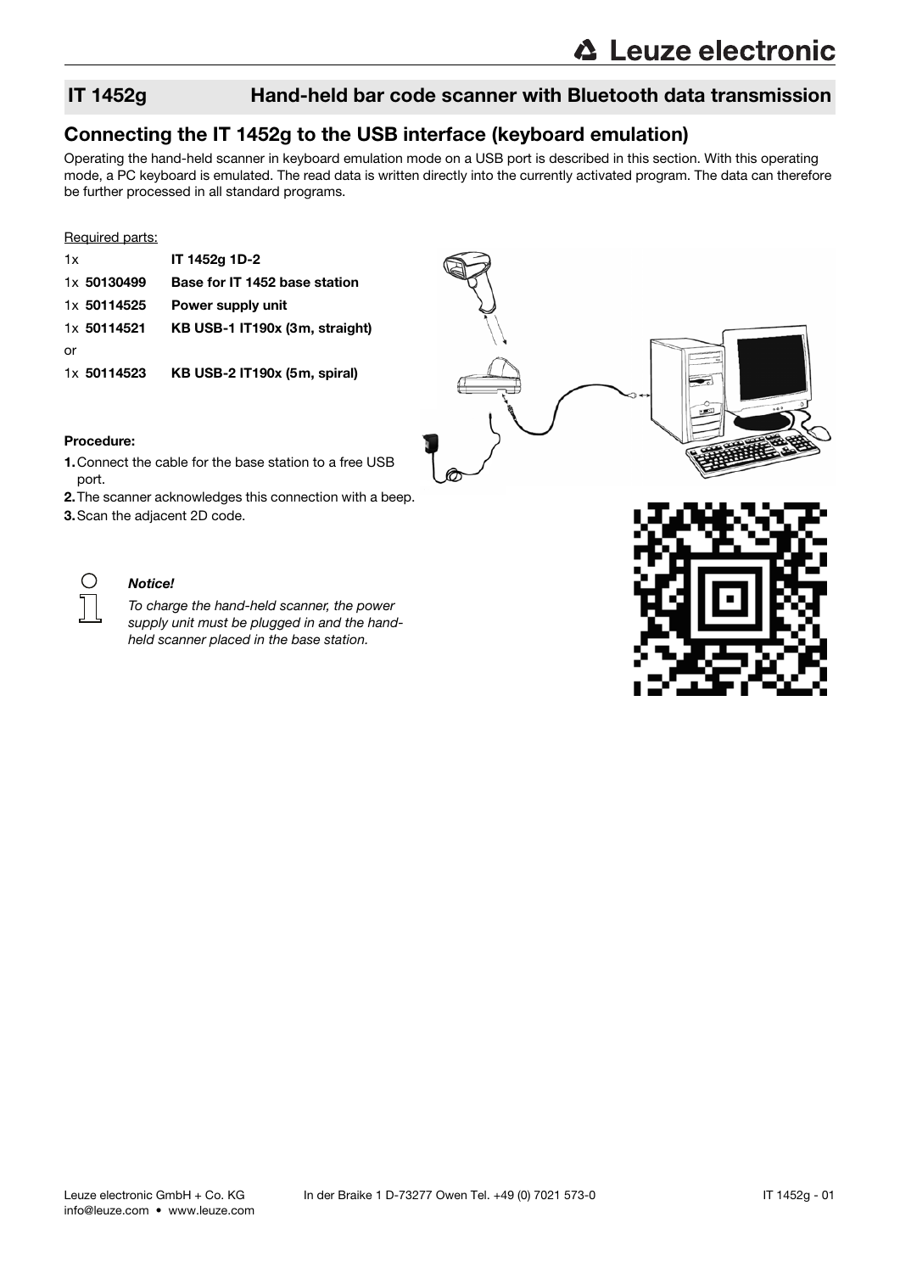# Connecting the IT 1452g to the USB interface (keyboard emulation)

Operating the hand-held scanner in keyboard emulation mode on a USB port is described in this section. With this operating mode, a PC keyboard is emulated. The read data is written directly into the currently activated program. The data can therefore be further processed in all standard programs.

#### Required parts:

| 1x          | IT 1452g 1D-2                  |
|-------------|--------------------------------|
| 1x 50130499 | Base for IT 1452 base station  |
| 1x 50114525 | Power supply unit              |
| 1x 50114521 | KB USB-1 IT190x (3m, straight) |
| or          |                                |
| 1x 50114523 | KB USB-2 IT190x (5m, spiral)   |



#### Procedure:

- 1.Connect the cable for the base station to a free USB port.
- 2.The scanner acknowledges this connection with a beep.
- 3.Scan the adjacent 2D code.



#### Notice!

To charge the hand-held scanner, the power supply unit must be plugged in and the handheld scanner placed in the base station.